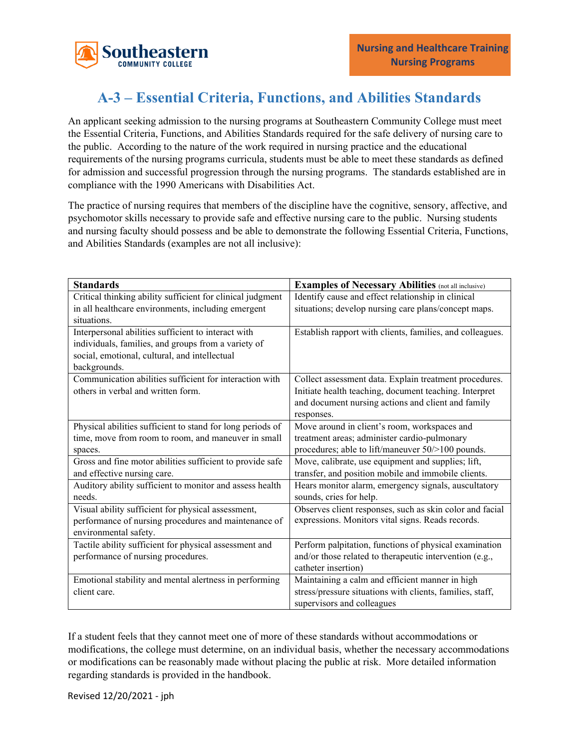

## **A-3 – Essential Criteria, Functions, and Abilities Standards**

An applicant seeking admission to the nursing programs at Southeastern Community College must meet the Essential Criteria, Functions, and Abilities Standards required for the safe delivery of nursing care to the public. According to the nature of the work required in nursing practice and the educational requirements of the nursing programs curricula, students must be able to meet these standards as defined for admission and successful progression through the nursing programs. The standards established are in compliance with the 1990 Americans with Disabilities Act.

The practice of nursing requires that members of the discipline have the cognitive, sensory, affective, and psychomotor skills necessary to provide safe and effective nursing care to the public. Nursing students and nursing faculty should possess and be able to demonstrate the following Essential Criteria, Functions, and Abilities Standards (examples are not all inclusive):

| <b>Standards</b>                                           | <b>Examples of Necessary Abilities</b> (not all inclusive) |
|------------------------------------------------------------|------------------------------------------------------------|
| Critical thinking ability sufficient for clinical judgment | Identify cause and effect relationship in clinical         |
| in all healthcare environments, including emergent         | situations; develop nursing care plans/concept maps.       |
| situations.                                                |                                                            |
| Interpersonal abilities sufficient to interact with        | Establish rapport with clients, families, and colleagues.  |
| individuals, families, and groups from a variety of        |                                                            |
| social, emotional, cultural, and intellectual              |                                                            |
| backgrounds.                                               |                                                            |
| Communication abilities sufficient for interaction with    | Collect assessment data. Explain treatment procedures.     |
| others in verbal and written form.                         | Initiate health teaching, document teaching. Interpret     |
|                                                            | and document nursing actions and client and family         |
|                                                            | responses.                                                 |
| Physical abilities sufficient to stand for long periods of | Move around in client's room, workspaces and               |
| time, move from room to room, and maneuver in small        | treatment areas; administer cardio-pulmonary               |
| spaces.                                                    | procedures; able to lift/maneuver 50/>100 pounds.          |
| Gross and fine motor abilities sufficient to provide safe  | Move, calibrate, use equipment and supplies; lift,         |
| and effective nursing care.                                | transfer, and position mobile and immobile clients.        |
| Auditory ability sufficient to monitor and assess health   | Hears monitor alarm, emergency signals, auscultatory       |
| needs.                                                     | sounds, cries for help.                                    |
| Visual ability sufficient for physical assessment,         | Observes client responses, such as skin color and facial   |
| performance of nursing procedures and maintenance of       | expressions. Monitors vital signs. Reads records.          |
| environmental safety.                                      |                                                            |
| Tactile ability sufficient for physical assessment and     | Perform palpitation, functions of physical examination     |
| performance of nursing procedures.                         | and/or those related to therapeutic intervention (e.g.,    |
|                                                            | catheter insertion)                                        |
| Emotional stability and mental alertness in performing     | Maintaining a calm and efficient manner in high            |
| client care.                                               | stress/pressure situations with clients, families, staff,  |
|                                                            | supervisors and colleagues                                 |

If a student feels that they cannot meet one of more of these standards without accommodations or modifications, the college must determine, on an individual basis, whether the necessary accommodations or modifications can be reasonably made without placing the public at risk. More detailed information regarding standards is provided in the handbook.